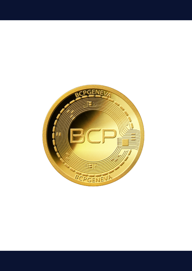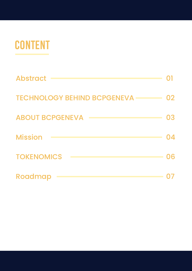#### **CONTENT**

| <b>Abstract</b>                    |    |
|------------------------------------|----|
| <b>TECHNOLOGY BEHIND BCPGENEVA</b> | 02 |
| <b>ABOUT BCPGENEVA</b>             | 03 |
| <b>Mission</b>                     | 04 |
| <b>TOKENOMICS</b>                  | 06 |
| Roadmap                            |    |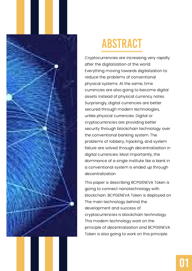

## **ABSTRACT**

Cryptocurrencies are increasing very rapidly after the digitalization of the world. Everything moving towards digitalization to reduce the problems of conventional physical systems. At the same, time currencies are also going to become digital assets instead of physical currency notes. Surprisingly, digital currencies are better secured through modern technologies, unlike physical currencies. Digital or cryptocurrencies are providing better security through blockchain technology over the conventional banking system. The problems of robbery, hijacking, and system failure are solved through decentralization in digital currencies. Most importantly, the dominance of a single institute like a bank in a conventional system is ended up through decentralization

This paper is describing BCPGENEVA Token is going to connect nanotechnology with blockchain. BCPGENEVA Token is deployed on The main technology behind the development and success of cryptocurrencies is blockchain technology. This modern technology work on the principle of decentralization and BCPGENEVA Token is also going to work on this principle.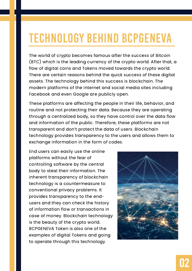## TECHNOLOGY BEHIND BCPGENEVA

The world of crypto becomes famous after the success of Bitcoin (BTC) which is the leading currency of the crypto world. After that, a flow of digital coins and Tokens moved towards the crypto world. There are certain reasons behind the quick success of these digital assets. The technology behind this success is blockchain. The modern platforms of the internet and social media sites including Facebook and even Google are publicly open.

These platforms are affecting the people in their life, behavior, and routine and not protecting their data. Because they are operating through a centralized body, so they have control over the data flow and information of the public. Therefore, these platforms are not transparent and don't protect the data of users. Blockchain technology provides transparency to the users and allows them to exchange information in the form of codes.

End users can easily use the online platforms without the fear of controlling software by the central body to steal their information. The inherent transparency of blockchain technology is a countermeasure to conventional privacy problems. It provides transparency to the endusers and they can check the history of information flow or transactions in case of money. Blockchain technology is the beauty of the crypto world. BCPGENEVA Token is also one of the examples of digital Tokens and going to operate through this technology.

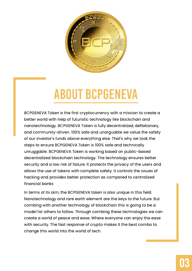

## ABOUT BCPGENEVA

BCPGENEVA Token is the first cryptocurrency with a mission to create a better world with help of futuristic technology like blockchain and nanotechnology. BCPGENEVA Token is fully decentralized, deflationary, and community-driven. 100% safe and unarguable we value the safety of our investor's funds above everything else. That's why we took the steps to ensure BCPGENEVA Token is 100% safe and technically unruggable. BCPGENEVA Token is working based on public-based decentralized blockchain technology. The technology ensures better security and a low risk of failure. It protects the privacy of the users and allows the use of tokens with complete safety. It controls the issues of hacking and provides better protection as compared to centralized financial banks

In terms of its aim, the BCPGENEVA token is also unique in this field. Nanotechnology and rare earth element are the keys to the future. But combing with another technology of blockchain this is going to be a model for others to follow. Through combing these technologies we can create a world of peace and ease. Where everyone can enjoy the ease with security. The fast response of crypto makes it the best combo to change this world into the world of tech.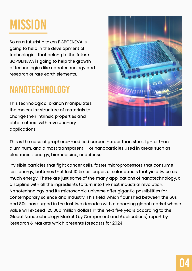# **MISSION**

So as a futuristic token BCPGENEVA is going to help in the development of technologies that belong to the future. BCPGENEVA is going to help the growth of technologies like nanotechnology and research of rare earth elements.

#### Nanotechnology

This technological branch manipulates the molecular structure of materials to change their intrinsic properties and obtain others with revolutionary applications.



This is the case of graphene-modified carbon harder than steel, lighter than aluminum, and almost transparent — or nanoparticles used in areas such as electronics, energy, biomedicine, or defense.

Invisible particles that fight cancer cells, faster microprocessors that consume less energy, batteries that last 10 times longer, or solar panels that yield twice as much energy. These are just some of the many applications of nanotechnology, a discipline with all the ingredients to turn into the next industrial revolution. Nanotechnology and its microscopic universe offer gigantic possibilities for contemporary science and industry. This field, which flourished between the 60s and 80s, has surged in the last two decades with a booming global market whose value will exceed 125,000 million dollars in the next five years according to the Global Nanotechnology Market (by Component and Applications) report by Research & Markets which presents forecasts for 2024.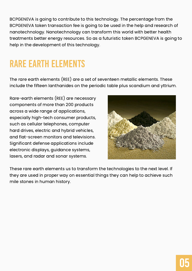BCPGENEVA is going to contribute to this technology. The percentage from the BCPGENEVA token transaction fee is going to be used in the help and research of nanotechnology. Nanotechnology can transform this world with better health treatments better energy resources. So as a futuristic token BCPGENEVA is going to help in the development of this technology.

#### **RARE EARTH ELEMENTS**

The rare earth elements (REE) are a set of seventeen metallic elements. These include the fifteen lanthanides on the periodic table plus scandium and yttrium.

Rare-earth elements (REE) are necessary components of more than 200 products across a wide range of applications, especially high-tech consumer products, such as cellular telephones, computer hard drives, electric and hybrid vehicles, and flat-screen monitors and televisions. Significant defense applications include electronic displays, guidance systems, lasers, and radar and sonar systems.



These rare earth elements us to transform the technologies to the next level. If they are used in proper way on essential things they can help to achieve such mile stones in human history.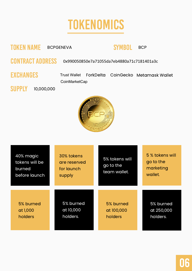## TOKENOMICS

#### TOKEN NAME BCPGENEVA

#### SYMBOL BCP

contract address 0x990050850e7a71055da7eb4880a71c7181401a3c

#### **EXCHANGES**

Trust Wallet ForkDelta CoinGecko Metamask Wallet CoinMarketCap

SUPPLY 10,000,000



| 40% magic<br>tokens will be<br>burned<br>before launch | 30% tokens<br>are reserved<br>for launch<br>supply | 5% tokens will<br>go to the<br>team wallet. | 5 % tokens will<br>go to the<br>marketing<br>wallet. |
|--------------------------------------------------------|----------------------------------------------------|---------------------------------------------|------------------------------------------------------|
| 5% burned                                              | 5% burned                                          | 5% burned                                   | 5% burned                                            |
| at 1,000                                               | at 10,000                                          | at 100,000                                  | at 250,000                                           |
| holders                                                | holders.                                           | holders                                     | holders.                                             |